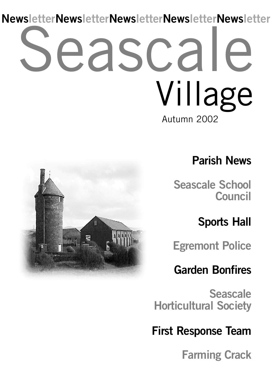# eascal Autumn 2002 Village **NewsletterNewsletterNewsletterNewsletterNewsletter**



### **Parish News**

**Seascale School Council**

**Sports Hall**

**Egremont Police**

### **Garden Bonfires**

**Seascale Horticultural Society**

**First Response Team**

**Farming Crack**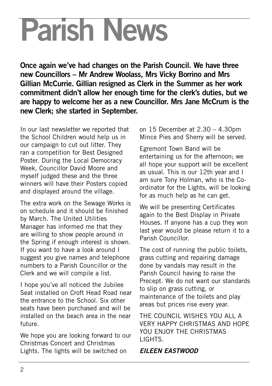# **Parish News**

**Once again we've had changes on the Parish Council. We have three new Councillors – Mr Andrew Woolass, Mrs Vicky Borrino and Mrs Gillian McCurrie. Gillian resigned as Clerk in the Summer as her work commitment didn't allow her enough time for the clerk's duties, but we are happy to welcome her as a new Councillor. Mrs Jane McCrum is the new Clerk; she started in September.**

In our last newsletter we reported that the School Children would help us in our campaign to cut out litter. They ran a competition for Best Designed Poster. During the Local Democracy Week, Councillor David Moore and myself judged these and the three winners will have their Posters copied and displayed around the village.

The extra work on the Sewage Works is on schedule and it should be finished by March. The United Utilities Manager has informed me that they are willing to show people around in the Spring if enough interest is shown. If you want to have a look around I suggest you give names and telephone numbers to a Parish Councillor or the Clerk and we will compile a list.

I hope you've all noticed the Jubilee Seat installed on Croft Head Road near the entrance to the School. Six other seats have been purchased and will be installed on the beach area in the near future.

We hope you are looking forward to our Christmas Concert and Christmas Lights. The lights will be switched on

on 15 December at 2.30 – 4.30pm Mince Pies and Sherry will be served.

Egremont Town Band will be entertaining us for the afternoon; we all hope your support will be excellent as usual. This is our 12th year and I am sure Tony Holman, who is the Coordinator for the Lights, will be looking for as much help as he can get.

We will be presenting Certificates again to the Best Display in Private Houses. If anyone has a cup they won last year would be please return it to a Parish Councillor.

The cost of running the public toilets, grass cutting and repairing damage done by vandals may result in the Parish Council having to raise the Precept. We do not want our standards to slip on grass cutting, or maintenance of the toilets and play areas but prices rise every year.

THE COUNCIL WISHES YOU ALL A VERY HAPPY CHRISTMAS AND HOPE YOU ENJOY THE CHRISTMAS LIGHTS.

#### *EILEEN EASTWOOD*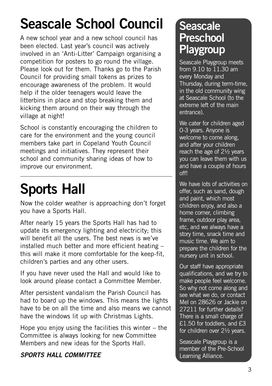# **Seascale School Council**

A new school year and a new school council has been elected. Last year's council was actively involved in an 'Anti-Litter' Campaign organising a competition for posters to go round the village. Please look out for them. Thanks go to the Parish Council for providing small tokens as prizes to encourage awareness of the problem. It would help if the older teenagers would leave the litterbins in place and stop breaking them and kicking them around on their way through the village at night!

School is constantly encouraging the children to care for the environment and the young council members take part in Copeland Youth Council meetings and initiatives. They represent their school and community sharing ideas of how to improve our environment.

# **Sports Hall**

Now the colder weather is approaching don't forget you have a Sports Hall.

After nearly 15 years the Sports Hall has had to update its emergency lighting and electricity; this will benefit all the users. The best news is we've installed much better and more efficient heating – this will make it more comfortable for the keep-fit, children's parties and any other users.

If you have never used the Hall and would like to look around please contact a Committee Member.

After persistent vandalism the Parish Council has had to board up the windows. This means the lights have to be on all the time and also means we cannot have the windows lit up with Christmas Lights.

Hope you enjoy using the facilities this winter – the Committee is always looking for new Committee Members and new ideas for the Sports Hall.

### *SPORTS HALL COMMITTEE*

### **Seascale Preschool Playgroup**

Seascale Playgroup meets from  $9.10$  to  $11.30$  am every Monday and Thursday, during term-time, in the old community wing at Seascale School (to the extreme left of the main entrance).

We cater for children aged 0-3 years. Anyone is welcome to come along, and after your children reach the age of 2½ years you can leave them with us and have a couple of hours off!

We have lots of activities on offer, such as sand, dough and paint, which most children enjoy, and also a home corner, climbing frame, outdoor play area, etc, and we always have a story time, snack time and music time. We aim to prepare the children for the nursery unit in school.

Our staff have appropriate qualifications, and we try to make people feel welcome. So why not come along and see what we do, or contact Mel on 28626 or Jackie on 27211 for further details? There is a small charge of £1.50 for toddlers, and £3 for children over 2½ years.

Seascale Playgroup is a member of the Pre-School Learning Alliance.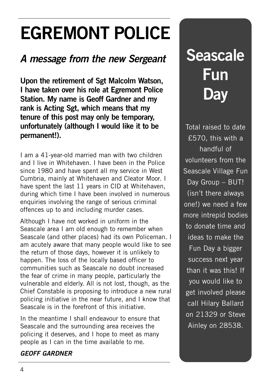# **EGREMONT POLICE**

### *A message from the new Sergeant*

**Upon the retirement of Sgt Malcolm Watson, I have taken over his role at Egremont Police Station. My name is Geoff Gardner and my rank is Acting Sgt, which means that my tenure of this post may only be temporary, unfortunately (although I would like it to be permanent!).**

I am a 41-year-old married man with two children and I live in Whitehaven. I have been in the Police since 1980 and have spent all my service in West Cumbria, mainly at Whitehaven and Cleator Moor. I have spent the last 11 years in CID at Whitehaven, during which time I have been involved in numerous enquiries involving the range of serious criminal offences up to and including murder cases.

Although I have not worked in uniform in the Seascale area I am old enough to remember when Seascale (and other places) had its own Policeman. I am acutely aware that many people would like to see the return of those days, however it is unlikely to happen. The loss of the locally based officer to communities such as Seascale no doubt increased the fear of crime in many people, particularly the vulnerable and elderly. All is not lost, though, as the Chief Constable is proposing to introduce a new rural policing initiative in the near future, and I know that Seascale is in the forefront of this initiative.

In the meantime I shall endeavour to ensure that Seascale and the surrounding area receives the policing it deserves, and I hope to meet as many people as I can in the time available to me.

### *GEOFF GARDNER*

# **Seascale Fun Day**

Total raised to date £570, this with a handful of volunteers from the Seascale Village Fun Day Group – BUT! (isn't there always one!) we need a few more intrepid bodies to donate time and ideas to make the Fun Day a bigger success next year than it was this! If you would like to get involved please call Hilary Ballard on 21329 or Steve Ainley on 28538.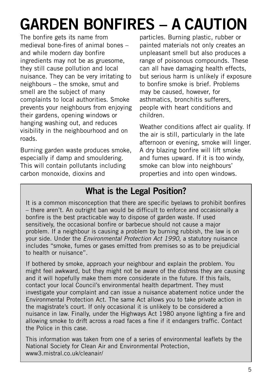# **GARDEN BONFIRES – A CAUTION**

The bonfire gets its name from medieval bone-fires of animal bones – and while modern day bonfire ingredients may not be as gruesome, they still cause pollution and local nuisance. They can be very irritating to neighbours – the smoke, smut and smell are the subject of many complaints to local authorities. Smoke prevents your neighbours from enjoying their gardens, opening windows or hanging washing out, and reduces visibility in the neighbourhood and on roads.

Burning garden waste produces smoke, especially if damp and smouldering. This will contain pollutants including carbon monoxide, dioxins and

particles. Burning plastic, rubber or painted materials not only creates an unpleasant smell but also produces a range of poisonous compounds. These can all have damaging health effects, but serious harm is unlikely if exposure to bonfire smoke is brief. Problems may be caused, however, for asthmatics, bronchitis sufferers, people with heart conditions and children.

Weather conditions affect air quality. If the air is still, particularly in the late afternoon or evening, smoke will linger. A dry blazing bonfire will lift smoke and fumes upward. If it is too windy, smoke can blow into neighbours' properties and into open windows.

### **What is the Legal Position?**

It is a common misconception that there are specific byelaws to prohibit bonfires – there aren't. An outright ban would be difficult to enforce and occasionally a bonfire is the best practicable way to dispose of garden waste. If used sensitively, the occasional bonfire or barbecue should not cause a major problem. If a neighbour is causing a problem by burning rubbish, the law is on your side. Under the *Environmental Protection Act 1990*, a statutory nuisance includes "smoke, fumes or gases emitted from premises so as to be prejudicial to health or nuisance".

If bothered by smoke, approach your neighbour and explain the problem. You might feel awkward, but they might not be aware of the distress they are causing and it will hopefully make them more considerate in the future. If this fails, contact your local Council's environmental health department. They must investigate your complaint and can issue a nuisance abatement notice under the Environmental Protection Act. The same Act allows you to take private action in the magistrate's court. If only occasional it is unlikely to be considered a nuisance in law. Finally, under the Highways Act 1980 anyone lighting a fire and allowing smoke to drift across a road faces a fine if it endangers traffic. Contact the Police in this case.

This information was taken from one of a series of environmental leaflets by the National Society for Clean Air and Environmental Protection, www3.mistral.co.uk/cleanair/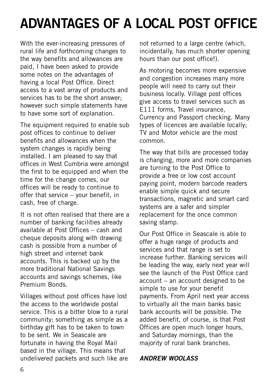## **ADVANTAGES OF A LOCAL POST OFFICE**

With the ever-increasing pressures of rural life and forthcoming changes to the way benefits and allowances are paid, I have been asked to provide some notes on the advantages of having a local Post Office. Direct access to a vast array of products and services has to be the short answer; however such simple statements have to have some sort of explanation.

The equipment required to enable sub post offices to continue to deliver benefits and allowances when the system changes is rapidly being installed. I am pleased to say that offices in West Cumbria were amongst the first to be equipped and when the time for the change comes, our offices will be ready to continue to offer that service – your benefit, in cash, free of charge.

It is not often realised that there are a number of banking facilities already available at Post Offices – cash and cheque deposits along with drawing cash is possible from a number of high street and internet bank accounts. This is backed up by the more traditional National Savings accounts and savings schemes, like Premium Bonds.

Villages without post offices have lost the access to the worldwide postal service. This is a bitter blow to a rural community; something as simple as a birthday gift has to be taken to town to be sent. We in Seascale are fortunate in having the Royal Mail based in the village. This means that undelivered packets and such like are not returned to a large centre (which, incidentally, has much shorter opening hours than our post office!).

As motoring becomes more expensive and congestion increases many more people will need to carry out their business locally. Village post offices give access to travel services such as E111 forms, Travel insurance, Currency and Passport checking. Many types of licences are available locally; TV and Motor vehicle are the most common.

The way that bills are processed today is changing, more and more companies are turning to the Post Office to provide a free or low cost account paying point, modern barcode readers enable simple quick and secure transactions, magnetic and smart card systems are a safer and simpler replacement for the once common saving stamp.

Our Post Office in Seascale is able to offer a huge range of products and services and that range is set to increase further. Banking services will be leading the way, early next year will see the launch of the Post Office card account – an account designed to be simple to use for your benefit payments. From April next year access to virtually all the main banks basic bank accounts will be possible. The added benefit, of course, is that Post Offices are open much longer hours, and Saturday mornings, than the majority of rural bank branches.

#### *ANDREW WOOLASS*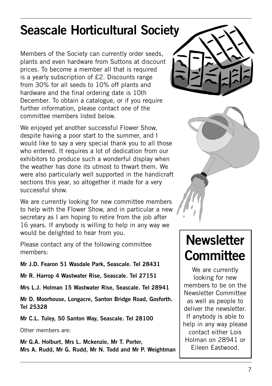### **Seascale Horticultural Society**

Members of the Society can currently order seeds, plants and even hardware from Suttons at discount prices. To become a member all that is required is a yearly subscription of £2. Discounts range from 30% for all seeds to 10% off plants and hardware and the final ordering date is 10th December. To obtain a catalogue, or if you require further information, please contact one of the committee members listed below.

We enjoyed yet another successful Flower Show. despite having a poor start to the summer, and I would like to say a very special thank you to all those who entered. It requires a lot of dedication from our exhibitors to produce such a wonderful display when the weather has done its utmost to thwart them. We were also particularly well supported in the handicraft sections this year, so altogether it made for a very successful show.

We are currently looking for new committee members to help with the Flower Show, and in particular a new secretary as I am hoping to retire from the job after 16 years. If anybody is willing to help in any way we would be delighted to hear from you.

Please contact any of the following committee members:

**Mr J.D. Fearon 51 Wasdale Park, Seascale. Tel 28431**

**Mr R. Harrop 4 Wastwater Rise, Seascale. Tel 27151**

**Mrs L.J. Holman 15 Wastwater Rise, Seascale. Tel 28941**

**Mr D. Moorhouse, Longacre, Santon Bridge Road, Gosforth. Tel 25328**

**Mr C.L. Tuley, 50 Santon Way, Seascale. Tel 28100**

Other members are:

**Mr G.A. Holburt, Mrs L. Mckenzie, Mr T. Porter, Mrs A. Rudd, Mr G. Rudd, Mr N. Todd and Mr P. Weightman**





### **Newsletter Committee**

We are currently looking for new members to be on the Newsletter Committee as well as people to deliver the newsletter. If anybody is able to help in any way please contact either Lois Holman on 28941 or Eileen Eastwood.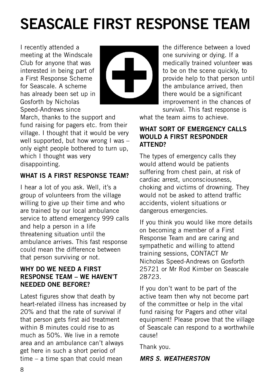# **SEASCALE FIRST RESPONSE TEAM**

I recently attended a meeting at the Windscale Club for anyone that was interested in being part of a First Response Scheme for Seascale. A scheme has already been set up in Gosforth by Nicholas Speed-Andrews since



March, thanks to the support and fund raising for pagers etc. from their village. I thought that it would be very well supported, but how wrong I was only eight people bothered to turn up, which I thought was very disappointing.

### **WHAT IS A FIRST RESPONSE TEAM?**

I hear a lot of you ask. Well, it's a group of volunteers from the village willing to give up their time and who are trained by our local ambulance service to attend emergency 999 calls and help a person in a life threatening situation until the ambulance arrives. This fast response could mean the difference between that person surviving or not.

#### **WHY DO WE NEED A FIRST RESPONSE TEAM – WE HAVEN'T NEEDED ONE BEFORE?**

Latest figures show that death by heart-related illness has increased by 20% and that the rate of survival if that person gets first aid treatment within 8 minutes could rise to as much as 50%. We live in a remote area and an ambulance can't always get here in such a short period of time – a time span that could mean

the difference between a loved one surviving or dying. If a medically trained volunteer was to be on the scene quickly, to provide help to that person until the ambulance arrived, then there would be a significant improvement in the chances of survival. This fast response is

what the team aims to achieve

#### **WHAT SORT OF EMERGENCY CALLS WOULD A FIRST RESPONDER ATTEND?**

The types of emergency calls they would attend would be patients suffering from chest pain, at risk of cardiac arrest, unconsciousness, choking and victims of drowning. They would not be asked to attend traffic accidents, violent situations or dangerous emergencies.

If you think you would like more details on becoming a member of a First Response Team and are caring and sympathetic and willing to attend training sessions, CONTACT Mr Nicholas Speed-Andrews on Gosforth 25721 or Mr Rod Kimber on Seascale 28723.

If you don't want to be part of the active team then why not become part of the committee or help in the vital fund raising for Pagers and other vital equipment! Please prove that the village of Seascale can respond to a worthwhile cause!

Thank you.

### *MRS S. WEATHERSTON*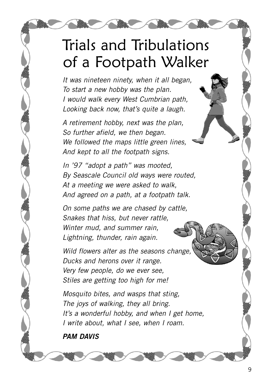## Trials and Tribulations of a Footpath Walker

*It was nineteen ninety, when it all began, To start a new hobby was the plan. I would walk every West Cumbrian path, Looking back now, that's quite a laugh.*

*A retirement hobby, next was the plan, So further afield, we then began. We followed the maps little green lines, And kept to all the footpath signs.*

*In '97 "adopt a path" was mooted, By Seascale Council old ways were routed, At a meeting we were asked to walk, And agreed on a path, at a footpath talk.*

*On some paths we are chased by cattle, Snakes that hiss, but never rattle, Winter mud, and summer rain, Lightning, thunder, rain again.*

*Wild flowers alter as the seasons change, Ducks and herons over it range. Very few people, do we ever see, Stiles are getting too high for me!*

*Mosquito bites, and wasps that sting, The joys of walking, they all bring. It's a wonderful hobby, and when I get home, I write about, what I see, when I roam.*

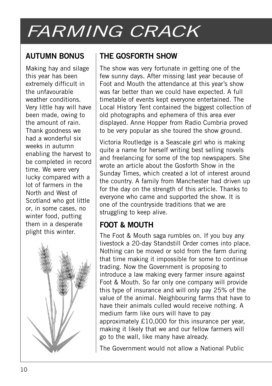# *FARMING CRACK*

### **AUTUMN BONUS**

Making hay and silage this year has been extremely difficult in the unfavourable weather conditions. Very little hay will have been made, owing to the amount of rain. Thank goodness we had a wonderful six weeks in autumn enabling the harvest to be completed in record time. We were very lucky compared with a lot of farmers in the North and West of Scotland who got little or, in some cases, no winter food, putting them in a desperate plight this winter.



### **THE GOSFORTH SHOW**

The show was very fortunate in getting one of the few sunny days. After missing last year because of Foot and Mouth the attendance at this year's show was far better than we could have expected. A full timetable of events kept everyone entertained. The Local History Tent contained the biggest collection of old photographs and ephemera of this area ever displayed. Anne Hopper from Radio Cumbria proved to be very popular as she toured the show ground.

Victoria Routledge is a Seascale girl who is making quite a name for herself writing best selling novels and freelancing for some of the top newspapers. She wrote an article about the Gosforth Show in the Sunday Times, which created a lot of interest around the country. A family from Manchester had driven up for the day on the strength of this article. Thanks to everyone who came and supported the show. It is one of the countryside traditions that we are struggling to keep alive.

### **FOOT & MOUTH**

The Foot & Mouth saga rumbles on. If you buy any livestock a 20-day Standstill Order comes into place. Nothing can be moved or sold from the farm during that time making it impossible for some to continue trading. Now the Government is proposing to introduce a law making every farmer insure against Foot & Mouth. So far only one company will provide this type of insurance and will only pay 25% of the value of the animal. Neighbouring farms that have to have their animals culled would receive nothing. A medium farm like ours will have to pay approximately £10,000 for this insurance per year, making it likely that we and our fellow farmers will go to the wall, like many have already.

The Government would not allow a National Public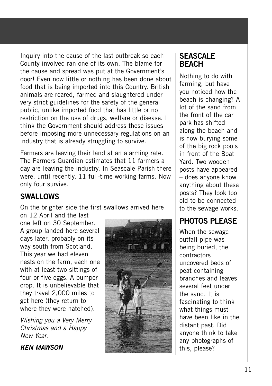Inquiry into the cause of the last outbreak so each County involved ran one of its own. The blame for the cause and spread was put at the Government's door! Even now little or nothing has been done about food that is being imported into this Country. British animals are reared, farmed and slaughtered under very strict guidelines for the safety of the general public, unlike imported food that has little or no restriction on the use of drugs, welfare or disease. I think the Government should address these issues before imposing more unnecessary regulations on an industry that is already struggling to survive.

Farmers are leaving their land at an alarming rate. The Farmers Guardian estimates that 11 farmers a day are leaving the industry. In Seascale Parish there were, until recently, 11 full-time working farms. Now only four survive.

### **SWALLOWS**

On the brighter side the first swallows arrived here

on 12 April and the last one left on 30 September. A group landed here several days later, probably on its way south from Scotland. This year we had eleven nests on the farm, each one with at least two sittings of four or five eggs. A bumper crop. It is unbelievable that they travel 2,000 miles to get here (they return to where they were hatched).

*Wishing you a Very Merry Christmas and a Happy New Year.*

#### *KEN MAWSON*



### **SEASCALE BEACH**

Nothing to do with farming, but have you noticed how the beach is changing? A lot of the sand from the front of the car park has shifted along the beach and is now burying some of the big rock pools in front of the Boat Yard. Two wooden posts have appeared – does anyone know anything about these posts? They look too old to be connected to the sewage works.

### **PHOTOS PLEASE**

When the sewage outfall pipe was being buried, the contractors uncovered beds of peat containing branches and leaves several feet under the sand. It is fascinating to think what things must have been like in the distant past. Did anyone think to take any photographs of this, please?